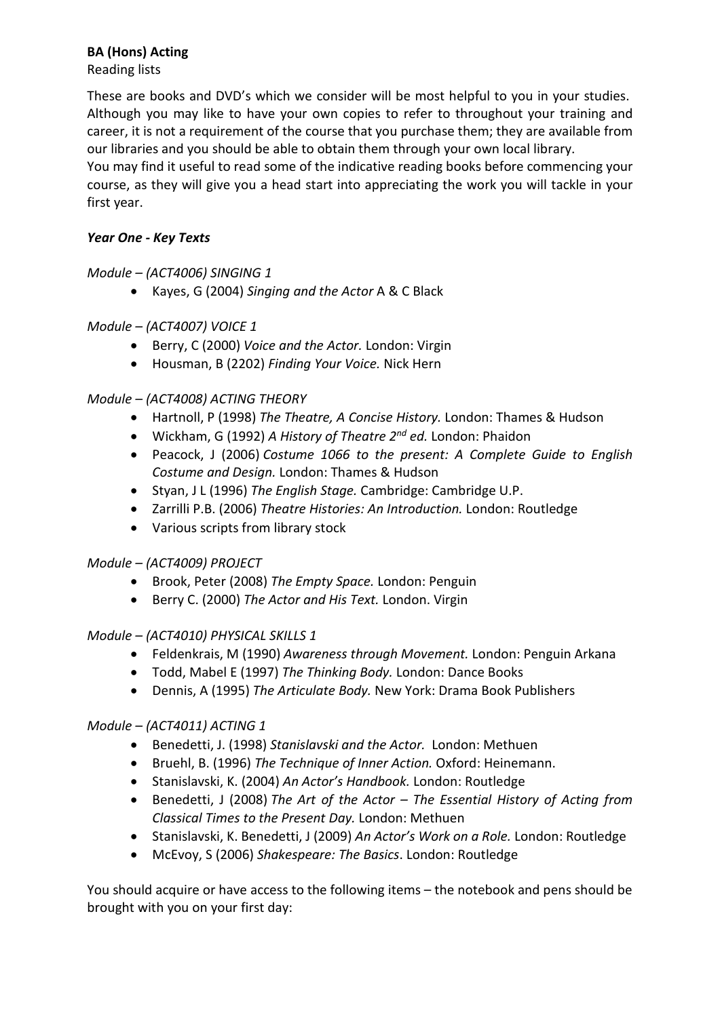## **BA (Hons) Acting**

### Reading lists

These are books and DVD's which we consider will be most helpful to you in your studies.  Although you may like to have your own copies to refer to throughout your training and career, it is not a requirement of the course that you purchase them; they are available from our libraries and you should be able to obtain them through your own local library. 

You may find it useful to read some of the indicative reading books before commencing your course, as they will give you a head start into appreciating the work you will tackle in your first year.

### *Year One - Key Texts*

## *Module – (ACT4006) SINGING 1*

• Kayes, G (2004) *Singing and the Actor* A & C Black 

# *Module – (ACT4007) VOICE 1*

- Berry, C (2000) *Voice and the Actor.* London: Virgin
- Housman, B (2202) *Finding Your Voice.* Nick Hern

# *Module – (ACT4008) ACTING THEORY*

- Hartnoll, P (1998) *The Theatre, A Concise History.* London: Thames & Hudson
- Wickham, G (1992) *A History of Theatre 2nd ed.* London: Phaidon
- Peacock, J (2006) *Costume 1066 to the present: A Complete Guide to English Costume and Design.* London: Thames & Hudson
- Styan, J L (1996) *The English Stage.* Cambridge: Cambridge U.P.
- Zarrilli P.B. (2006) *Theatre Histories: An Introduction.* London: Routledge
- Various scripts from library stock

## *Module – (ACT4009) PROJECT*

- Brook, Peter (2008) *The Empty Space.*London: Penguin
- Berry C. (2000) *The Actor and His Text.* London. Virgin

## *Module – (ACT4010) PHYSICAL SKILLS 1*

- Feldenkrais, M (1990) *Awareness through Movement.* London: Penguin Arkana
- Todd, Mabel E (1997) *The Thinking Body.* London: Dance Books
- Dennis, A (1995) *The Articulate Body.* New York: Drama Book Publishers

## *Module – (ACT4011) ACTING 1*

- Benedetti, J. (1998) *Stanislavski and the Actor.* London: Methuen
- Bruehl, B. (1996) *The Technique of Inner Action.* Oxford: Heinemann.
- Stanislavski, K. (2004) *An Actor's Handbook.* London: Routledge
- Benedetti, J (2008) *The Art of the Actor – The Essential History of Acting from Classical Times to the Present Day.* London: Methuen
- Stanislavski, K. Benedetti, J (2009) *An Actor's Work on a Role.* London: Routledge
- McEvoy, S (2006) *Shakespeare: The Basics*. London: Routledge

You should acquire or have access to the following items – the notebook and pens should be brought with you on your first day: